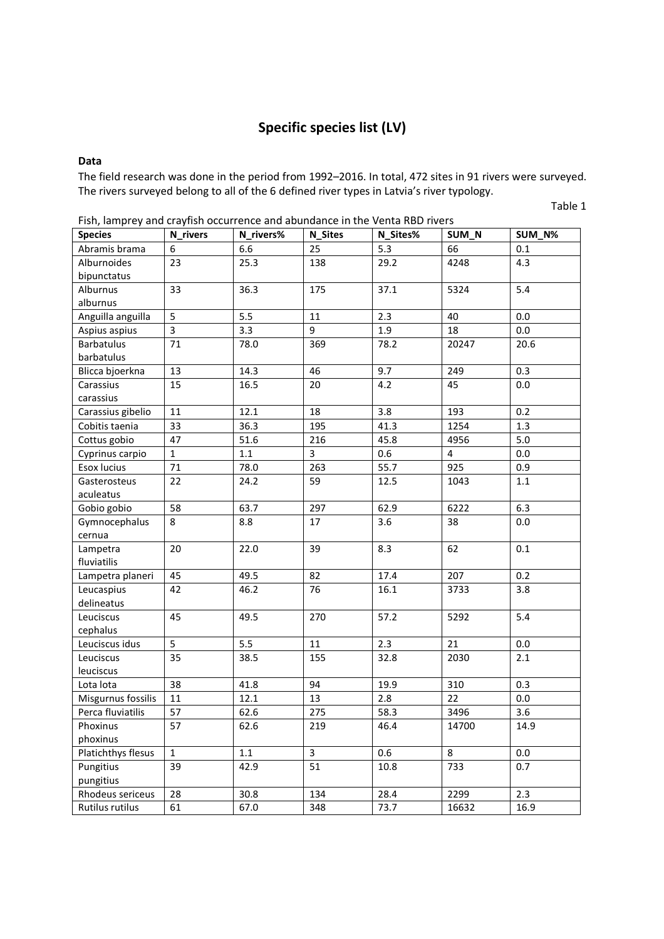# **Specific species list (LV)**

#### **Data**

The field research was done in the period from 1992–2016. In total, 472 sites in 91 rivers were surveyed. The rivers surveyed belong to all of the 6 defined river types in Latvia's river typology.

Table 1

| Fish, idilipley dilu craylish occurrence dilu dounudilce in the vehitd NBD fivers |                         |           |                |          |                |         |
|-----------------------------------------------------------------------------------|-------------------------|-----------|----------------|----------|----------------|---------|
| <b>Species</b>                                                                    | <b>N_rivers</b>         | N_rivers% | <b>N_Sites</b> | N_Sites% | SUM_N          | SUM_N%  |
| Abramis brama                                                                     | 6                       | 6.6       | 25             | 5.3      | 66             | $0.1\,$ |
| Alburnoides                                                                       | 23                      | 25.3      | 138            | 29.2     | 4248           | 4.3     |
| bipunctatus                                                                       |                         |           |                |          |                |         |
| Alburnus                                                                          | 33                      | 36.3      | 175            | 37.1     | 5324           | 5.4     |
| alburnus                                                                          |                         |           |                |          |                |         |
| Anguilla anguilla                                                                 | 5                       | 5.5       | 11             | 2.3      | 40             | 0.0     |
| Aspius aspius                                                                     | $\overline{\mathbf{3}}$ | 3.3       | 9              | 1.9      | 18             | 0.0     |
| <b>Barbatulus</b>                                                                 | 71                      | 78.0      | 369            | 78.2     | 20247          | 20.6    |
| barbatulus                                                                        |                         |           |                |          |                |         |
| Blicca bjoerkna                                                                   | 13                      | 14.3      | 46             | 9.7      | 249            | 0.3     |
| Carassius                                                                         | 15                      | 16.5      | 20             | 4.2      | 45             | 0.0     |
| carassius                                                                         |                         |           |                |          |                |         |
| Carassius gibelio                                                                 | 11                      | 12.1      | 18             | 3.8      | 193            | 0.2     |
| Cobitis taenia                                                                    | 33                      | 36.3      | 195            | 41.3     | 1254           | 1.3     |
| Cottus gobio                                                                      | 47                      | 51.6      | 216            | 45.8     | 4956           | 5.0     |
| Cyprinus carpio                                                                   | $\mathbf 1$             | $1.1\,$   | 3              | 0.6      | $\overline{4}$ | 0.0     |
| <b>Esox lucius</b>                                                                | 71                      | 78.0      | 263            | 55.7     | 925            | 0.9     |
| Gasterosteus                                                                      | 22                      | 24.2      | 59             | 12.5     | 1043           | 1.1     |
| aculeatus                                                                         |                         |           |                |          |                |         |
| Gobio gobio                                                                       | 58                      | 63.7      | 297            | 62.9     | 6222           | 6.3     |
| Gymnocephalus                                                                     | 8                       | 8.8       | 17             | 3.6      | 38             | 0.0     |
| cernua                                                                            |                         |           |                |          |                |         |
| Lampetra                                                                          | 20                      | 22.0      | 39             | 8.3      | 62             | 0.1     |
| fluviatilis                                                                       |                         |           |                |          |                |         |
| Lampetra planeri                                                                  | 45                      | 49.5      | 82             | 17.4     | 207            | 0.2     |
| Leucaspius                                                                        | 42                      | 46.2      | 76             | 16.1     | 3733           | 3.8     |
| delineatus                                                                        |                         |           |                |          |                |         |
| Leuciscus                                                                         | 45                      | 49.5      | 270            | 57.2     | 5292           | 5.4     |
| cephalus                                                                          |                         |           |                |          |                |         |
| Leuciscus idus                                                                    | 5                       | 5.5       | 11             | 2.3      | 21             | 0.0     |
| Leuciscus                                                                         | 35                      | 38.5      | 155            | 32.8     | 2030           | 2.1     |
| leuciscus                                                                         |                         |           |                |          |                |         |
| Lota lota                                                                         | 38                      | 41.8      | 94             | 19.9     | 310            | 0.3     |
| Misgurnus fossilis                                                                | 11                      | 12.1      | 13             | 2.8      | 22             | 0.0     |
| Perca fluviatilis                                                                 | 57                      | 62.6      | 275            | 58.3     | 3496           | 3.6     |
| Phoxinus                                                                          | 57                      | 62.6      | 219            | 46.4     | 14700          | 14.9    |
| phoxinus                                                                          |                         |           |                |          |                |         |
| Platichthys flesus                                                                | $\mathbf{1}$            | $1.1\,$   | $\overline{3}$ | 0.6      | 8              | 0.0     |
| Pungitius                                                                         | 39                      | 42.9      | 51             | 10.8     | 733            | 0.7     |
| pungitius                                                                         |                         |           |                |          |                |         |
| Rhodeus sericeus                                                                  | 28                      | 30.8      | 134            | 28.4     | 2299           | 2.3     |
| Rutilus rutilus                                                                   | 61                      | 67.0      | 348            | 73.7     | 16632          | 16.9    |

Fish, lamprey and crayfish occurrence and abundance in the Venta RBD rivers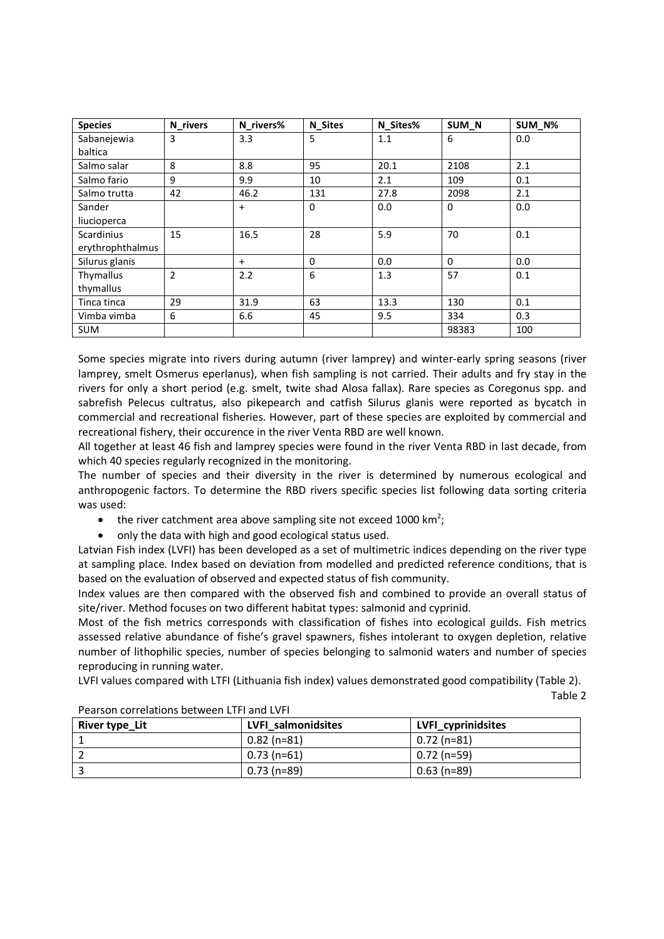| <b>Species</b>    | N_rivers       | N_rivers% | <b>N_Sites</b> | N_Sites% | SUM_N        | SUM_N% |
|-------------------|----------------|-----------|----------------|----------|--------------|--------|
| Sabanejewia       | 3              | 3.3       | 5              | 1.1      | 6            | 0.0    |
| baltica           |                |           |                |          |              |        |
| Salmo salar       | 8              | 8.8       | 95             | 20.1     | 2108         | 2.1    |
| Salmo fario       | 9              | 9.9       | 10             | 2.1      | 109          | 0.1    |
| Salmo trutta      | 42             | 46.2      | 131            | 27.8     | 2098         | 2.1    |
| Sander            |                | $\ddot{}$ | $\Omega$       | 0.0      | $\mathbf{0}$ | 0.0    |
| liucioperca       |                |           |                |          |              |        |
| <b>Scardinius</b> | 15             | 16.5      | 28             | 5.9      | 70           | 0.1    |
| erythrophthalmus  |                |           |                |          |              |        |
| Silurus glanis    |                | $+$       | $\Omega$       | 0.0      | $\Omega$     | 0.0    |
| Thymallus         | $\overline{2}$ | 2.2       | 6              | 1.3      | 57           | 0.1    |
| thymallus         |                |           |                |          |              |        |
| Tinca tinca       | 29             | 31.9      | 63             | 13.3     | 130          | 0.1    |
| Vimba vimba       | 6              | 6.6       | 45             | 9.5      | 334          | 0.3    |
| <b>SUM</b>        |                |           |                |          | 98383        | 100    |

Some species migrate into rivers during autumn (river lamprey) and winter-early spring seasons (river lamprey, smelt Osmerus eperlanus), when fish sampling is not carried. Their adults and fry stay in the rivers for only a short period (e.g. smelt, twite shad Alosa fallax). Rare species as Coregonus spp. and sabrefish Pelecus cultratus, also pikepearch and catfish Silurus glanis were reported as bycatch in commercial and recreational fisheries. However, part of these species are exploited by commercial and recreational fishery, their occurence in the river Venta RBD are well known.

All together at least 46 fish and lamprey species were found in the river Venta RBD in last decade, from which 40 species regularly recognized in the monitoring.

The number of species and their diversity in the river is determined by numerous ecological and anthropogenic factors. To determine the RBD rivers specific species list following data sorting criteria was used:

- the river catchment area above sampling site not exceed 1000 km<sup>2</sup>;
- only the data with high and good ecological status used.

Latvian Fish index (LVFI) has been developed as a set of multimetric indices depending on the river type at sampling place. Index based on deviation from modelled and predicted reference conditions, that is based on the evaluation of observed and expected status of fish community.

Index values are then compared with the observed fish and combined to provide an overall status of site/river. Method focuses on two different habitat types: salmonid and cyprinid.

Most of the fish metrics corresponds with classification of fishes into ecological guilds. Fish metrics assessed relative abundance of fishe's gravel spawners, fishes intolerant to oxygen depletion, relative number of lithophilic species, number of species belonging to salmonid waters and number of species reproducing in running water.

LVFI values compared with LTFI (Lithuania fish index) values demonstrated good compatibility (Table 2).

Table 2

| River type_Lit | LVFI salmonidsites | LVFI_cyprinidsites |
|----------------|--------------------|--------------------|
|                | $0.82$ (n=81)      | $0.72$ (n=81)      |
|                | $0.73(n=61)$       | $0.72$ (n=59)      |
|                | $0.73$ (n=89)      | $0.63$ (n=89)      |

#### Pearson correlations between LTFI and LVFI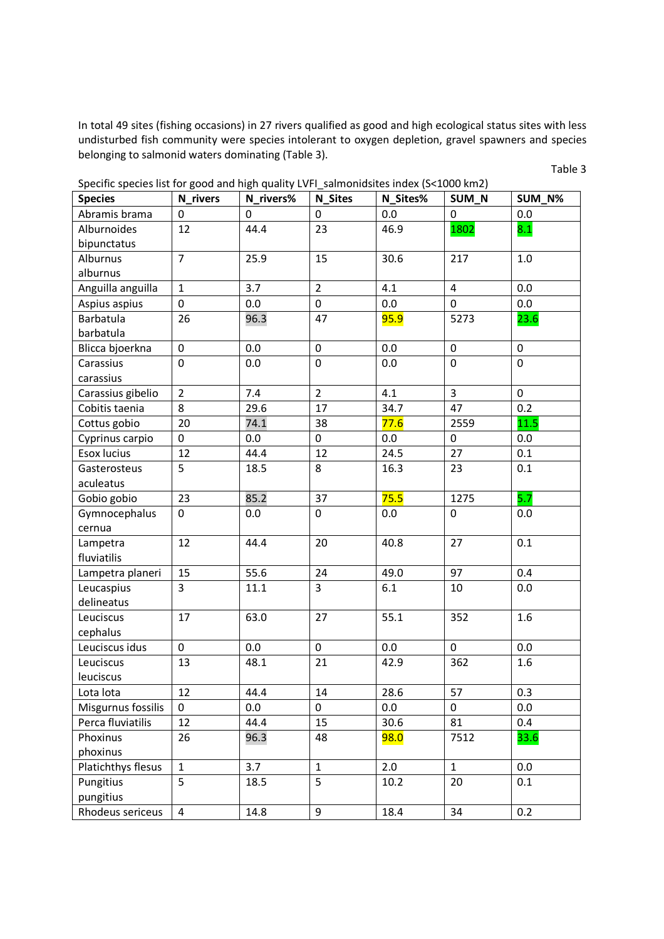In total 49 sites (fishing occasions) in 27 rivers qualified as good and high ecological status sites with less undisturbed fish community were species intolerant to oxygen depletion, gravel spawners and species belonging to salmonid waters dominating (Table 3).

Table 3

| <b>Species</b>     | N_rivers       | N_rivers% | <b>N_Sites</b> | N Sites%    | SUM_N          | SUM_N%      |
|--------------------|----------------|-----------|----------------|-------------|----------------|-------------|
| Abramis brama      | $\Omega$       | 0         | 0              | 0.0         | $\Omega$       | 0.0         |
| Alburnoides        | 12             | 44.4      | 23             | 46.9        | 1802           | 8.1         |
| bipunctatus        |                |           |                |             |                |             |
| Alburnus           | $\overline{7}$ | 25.9      | 15             | 30.6        | 217            | 1.0         |
| alburnus           |                |           |                |             |                |             |
| Anguilla anguilla  | $\mathbf{1}$   | 3.7       | $\overline{2}$ | 4.1         | $\overline{4}$ | 0.0         |
| Aspius aspius      | 0              | 0.0       | 0              | 0.0         | 0              | 0.0         |
| Barbatula          | 26             | 96.3      | 47             | 95.9        | 5273           | 23.6        |
| barbatula          |                |           |                |             |                |             |
| Blicca bjoerkna    | 0              | 0.0       | $\mathbf 0$    | 0.0         | $\pmb{0}$      | $\pmb{0}$   |
| Carassius          | $\mathbf 0$    | 0.0       | $\mathbf 0$    | 0.0         | $\mathbf 0$    | 0           |
| carassius          |                |           |                |             |                |             |
| Carassius gibelio  | $\overline{2}$ | 7.4       | $\overline{2}$ | 4.1         | $\overline{3}$ | $\mathbf 0$ |
| Cobitis taenia     | 8              | 29.6      | 17             | 34.7        | 47             | 0.2         |
| Cottus gobio       | 20             | 74.1      | 38             | 77.6        | 2559           | 11.5        |
| Cyprinus carpio    | 0              | 0.0       | $\mathbf 0$    | 0.0         | 0              | 0.0         |
| Esox lucius        | 12             | 44.4      | 12             | 24.5        | 27             | 0.1         |
| Gasterosteus       | 5              | 18.5      | 8              | 16.3        | 23             | 0.1         |
| aculeatus          |                |           |                |             |                |             |
| Gobio gobio        | 23             | 85.2      | 37             | 75.5        | 1275           | 5.7         |
| Gymnocephalus      | $\overline{0}$ | 0.0       | $\mathbf 0$    | 0.0         | $\mathbf 0$    | 0.0         |
| cernua             |                |           |                |             |                |             |
| Lampetra           | 12             | 44.4      | 20             | 40.8        | 27             | 0.1         |
| fluviatilis        |                |           |                |             |                |             |
| Lampetra planeri   | 15             | 55.6      | 24             | 49.0        | 97             | 0.4         |
| Leucaspius         | $\overline{3}$ | 11.1      | $\overline{3}$ | 6.1         | 10             | 0.0         |
| delineatus         |                |           |                |             |                |             |
| Leuciscus          | 17             | 63.0      | 27             | 55.1        | 352            | 1.6         |
| cephalus           |                |           |                |             |                |             |
| Leuciscus idus     | 0              | 0.0       | $\mathbf 0$    | 0.0         | $\mathbf 0$    | 0.0         |
| Leuciscus          | 13             | 48.1      | 21             | 42.9        | 362            | 1.6         |
| leuciscus          |                |           |                |             |                |             |
| Lota lota          | 12             | 44.4      | $14\,$         | 28.6        | 57             | 0.3         |
| Misgurnus fossilis | $\Omega$       | $0.0\,$   | 0              | 0.0         | 0              | 0.0         |
| Perca fluviatilis  | 12             | 44.4      | 15             | 30.6        | 81             | 0.4         |
| Phoxinus           | 26             | 96.3      | 48             | <b>98.0</b> | 7512           | 33.6        |
| phoxinus           |                |           |                |             |                |             |
| Platichthys flesus | $\mathbf{1}$   | 3.7       | $\mathbf{1}$   | 2.0         | $\mathbf{1}$   | 0.0         |
| Pungitius          | 5              | 18.5      | 5              | 10.2        | 20             | 0.1         |
| pungitius          |                |           |                |             |                |             |
| Rhodeus sericeus   | $\overline{4}$ | 14.8      | 9              | 18.4        | 34             | 0.2         |

Specific species list for good and high quality LVFI\_salmonidsites index (S<1000 km2)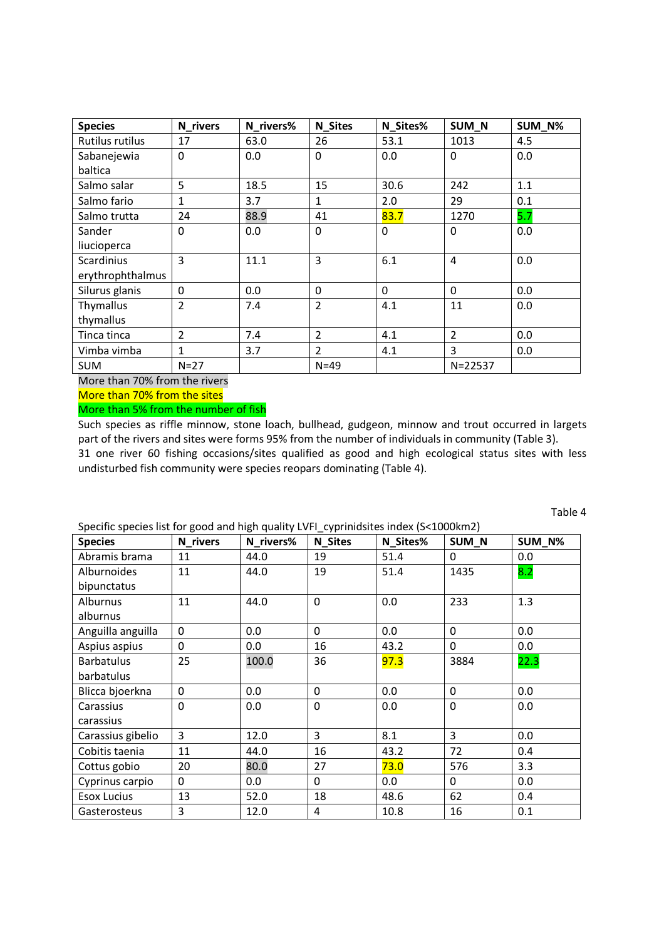| <b>Species</b>    | N_rivers       | N_rivers% | <b>N_Sites</b> | N_Sites% | SUM_N          | SUM_N% |
|-------------------|----------------|-----------|----------------|----------|----------------|--------|
| Rutilus rutilus   | 17             | 63.0      | 26             | 53.1     | 1013           | 4.5    |
| Sabanejewia       | 0              | 0.0       | $\mathbf 0$    | 0.0      | 0              | 0.0    |
| baltica           |                |           |                |          |                |        |
| Salmo salar       | 5              | 18.5      | 15             | 30.6     | 242            | 1.1    |
| Salmo fario       | $\mathbf{1}$   | 3.7       | $\mathbf{1}$   | 2.0      | 29             | 0.1    |
| Salmo trutta      | 24             | 88.9      | 41             | 83.7     | 1270           | 5.7    |
| Sander            | 0              | 0.0       | $\mathbf 0$    | 0        | $\Omega$       | 0.0    |
| liucioperca       |                |           |                |          |                |        |
| <b>Scardinius</b> | $\overline{3}$ | 11.1      | 3              | 6.1      | $\overline{4}$ | 0.0    |
| erythrophthalmus  |                |           |                |          |                |        |
| Silurus glanis    | $\mathbf{0}$   | 0.0       | $\mathbf 0$    | $\Omega$ | $\Omega$       | 0.0    |
| Thymallus         | $\overline{2}$ | 7.4       | $\overline{2}$ | 4.1      | 11             | 0.0    |
| thymallus         |                |           |                |          |                |        |
| Tinca tinca       | $\overline{2}$ | 7.4       | $\overline{2}$ | 4.1      | $\overline{2}$ | 0.0    |
| Vimba vimba       | 1              | 3.7       | $\overline{2}$ | 4.1      | 3              | 0.0    |
| <b>SUM</b>        | $N = 27$       |           | $N = 49$       |          | N=22537        |        |

More than 70% from the rivers

More than 70% from the sites

#### More than 5% from the number of fish

Such species as riffle minnow, stone loach, bullhead, gudgeon, minnow and trout occurred in largets part of the rivers and sites were forms 95% from the number of individuals in community (Table 3). 31 one river 60 fishing occasions/sites qualified as good and high ecological status sites with less undisturbed fish community were species reopars dominating (Table 4).

| $\frac{1}{2}$<br><b>Species</b> | N rivers       | N_rivers% | N Sites     | N_Sites% | SUM N          | SUM N% |
|---------------------------------|----------------|-----------|-------------|----------|----------------|--------|
| Abramis brama                   | 11             | 44.0      | 19          | 51.4     | $\Omega$       | 0.0    |
| Alburnoides                     | 11             | 44.0      | 19          | 51.4     | 1435           | 8.2    |
| bipunctatus                     |                |           |             |          |                |        |
| Alburnus                        | 11             | 44.0      | $\mathbf 0$ | 0.0      | 233            | 1.3    |
| alburnus                        |                |           |             |          |                |        |
| Anguilla anguilla               | $\mathbf{0}$   | 0.0       | $\Omega$    | 0.0      | $\Omega$       | 0.0    |
| Aspius aspius                   | $\overline{0}$ | 0.0       | 16          | 43.2     | $\mathbf{0}$   | 0.0    |
| Barbatulus                      | 25             | 100.0     | 36          | 97.3     | 3884           | 22.3   |
| barbatulus                      |                |           |             |          |                |        |
| Blicca bjoerkna                 | $\mathbf 0$    | 0.0       | $\Omega$    | 0.0      | $\Omega$       | 0.0    |
| Carassius                       | $\overline{0}$ | 0.0       | $\mathbf 0$ | 0.0      | $\mathbf 0$    | 0.0    |
| carassius                       |                |           |             |          |                |        |
| Carassius gibelio               | $\overline{3}$ | 12.0      | 3           | 8.1      | $\overline{3}$ | 0.0    |
| Cobitis taenia                  | 11             | 44.0      | 16          | 43.2     | 72             | 0.4    |
| Cottus gobio                    | 20             | 80.0      | 27          | 73.0     | 576            | 3.3    |
| Cyprinus carpio                 | $\Omega$       | 0.0       | $\Omega$    | 0.0      | $\Omega$       | 0.0    |
| <b>Esox Lucius</b>              | 13             | 52.0      | 18          | 48.6     | 62             | 0.4    |
| Gasterosteus                    | 3              | 12.0      | 4           | 10.8     | 16             | 0.1    |

Specific species list for good and high quality LVFI\_cyprinidsites index (S<1000km2)

Table 4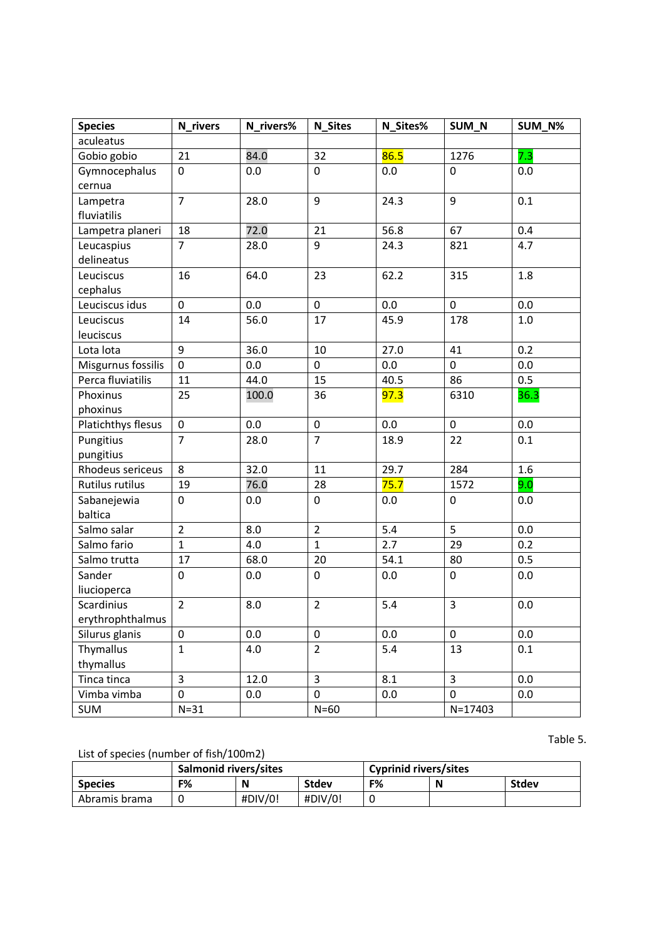| <b>Species</b>     | N_rivers                | N_rivers% | <b>N_Sites</b> | N_Sites% | SUM_N          | SUM_N%  |
|--------------------|-------------------------|-----------|----------------|----------|----------------|---------|
| aculeatus          |                         |           |                |          |                |         |
| Gobio gobio        | 21                      | 84.0      | 32             | 86.5     | 1276           | 7.3     |
| Gymnocephalus      | $\mathbf 0$             | 0.0       | $\pmb{0}$      | 0.0      | $\pmb{0}$      | 0.0     |
| cernua             |                         |           |                |          |                |         |
| Lampetra           | $\overline{7}$          | 28.0      | 9              | 24.3     | 9              | 0.1     |
| fluviatilis        |                         |           |                |          |                |         |
| Lampetra planeri   | 18                      | 72.0      | 21             | 56.8     | 67             | 0.4     |
| Leucaspius         | $\overline{7}$          | 28.0      | 9              | 24.3     | 821            | 4.7     |
| delineatus         |                         |           |                |          |                |         |
| Leuciscus          | 16                      | 64.0      | 23             | 62.2     | 315            | 1.8     |
| cephalus           |                         |           |                |          |                |         |
| Leuciscus idus     | $\mathbf 0$             | 0.0       | $\pmb{0}$      | 0.0      | $\pmb{0}$      | 0.0     |
| Leuciscus          | 14                      | 56.0      | 17             | 45.9     | 178            | $1.0\,$ |
| leuciscus          |                         |           |                |          |                |         |
| Lota lota          | 9                       | 36.0      | 10             | 27.0     | 41             | 0.2     |
| Misgurnus fossilis | $\pmb{0}$               | 0.0       | $\pmb{0}$      | 0.0      | $\mathbf 0$    | 0.0     |
| Perca fluviatilis  | 11                      | 44.0      | 15             | 40.5     | 86             | 0.5     |
| Phoxinus           | 25                      | 100.0     | 36             | 97.3     | 6310           | 36.3    |
| phoxinus           |                         |           |                |          |                |         |
| Platichthys flesus | $\mathbf 0$             | 0.0       | $\pmb{0}$      | 0.0      | $\pmb{0}$      | 0.0     |
| Pungitius          | $\overline{7}$          | 28.0      | $\overline{7}$ | 18.9     | 22             | 0.1     |
| pungitius          |                         |           |                |          |                |         |
| Rhodeus sericeus   | 8                       | 32.0      | 11             | 29.7     | 284            | 1.6     |
| Rutilus rutilus    | 19                      | 76.0      | 28             | 75.7     | 1572           | 9.0     |
| Sabanejewia        | 0                       | 0.0       | $\pmb{0}$      | 0.0      | $\pmb{0}$      | 0.0     |
| baltica            |                         |           |                |          |                |         |
| Salmo salar        | $\overline{2}$          | 8.0       | $\overline{2}$ | 5.4      | 5              | 0.0     |
| Salmo fario        | $\mathbf{1}$            | 4.0       | $\mathbf{1}$   | 2.7      | 29             | 0.2     |
| Salmo trutta       | 17                      | 68.0      | 20             | 54.1     | 80             | 0.5     |
| Sander             | $\pmb{0}$               | 0.0       | $\pmb{0}$      | 0.0      | $\pmb{0}$      | 0.0     |
| liucioperca        |                         |           |                |          |                |         |
| Scardinius         | $\overline{2}$          | 8.0       | $\overline{2}$ | 5.4      | 3              | 0.0     |
| erythrophthalmus   |                         |           |                |          |                |         |
| Silurus glanis     | $\pmb{0}$               | 0.0       | $\pmb{0}$      | 0.0      | $\mathbf 0$    | 0.0     |
| Thymallus          | $\mathbf{1}$            | 4.0       | $\overline{2}$ | 5.4      | 13             | 0.1     |
| thymallus          |                         |           |                |          |                |         |
| Tinca tinca        | $\overline{\mathbf{3}}$ | 12.0      | $\overline{3}$ | 8.1      | $\overline{3}$ | 0.0     |
| Vimba vimba        | 0                       | 0.0       | $\mathbf 0$    | 0.0      | 0              | 0.0     |
| <b>SUM</b>         | $N=31$                  |           | $N=60$         |          | $N = 17403$    |         |

### Table 5.

## List of species (number of fish/100m2)

| <b>LISE OF SPECIES (HUIHDEL OF HSH) IOOHILL</b> |                       |                |         |                              |   |              |  |  |
|-------------------------------------------------|-----------------------|----------------|---------|------------------------------|---|--------------|--|--|
|                                                 | Salmonid rivers/sites |                |         | <b>Cyprinid rivers/sites</b> |   |              |  |  |
| <b>Species</b>                                  | F%                    | N              | Stdev   | F%                           | N | <b>Stdev</b> |  |  |
| Abramis brama                                   |                       | $\#$ DIV $/0!$ | #DIV/0! |                              |   |              |  |  |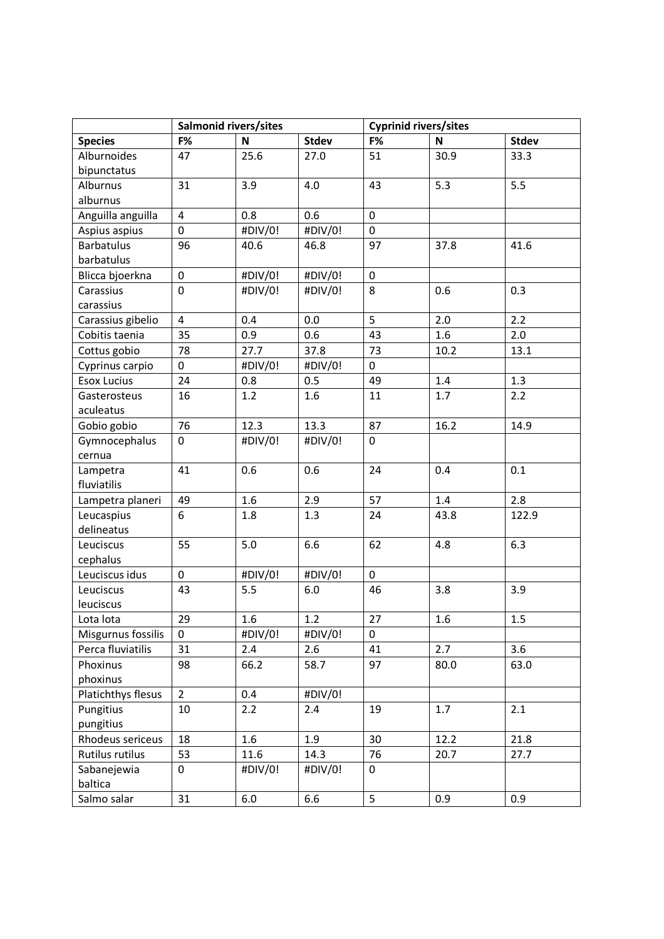|                    | Salmonid rivers/sites |              | <b>Cyprinid rivers/sites</b> |                  |      |              |
|--------------------|-----------------------|--------------|------------------------------|------------------|------|--------------|
| <b>Species</b>     | F%                    | $\mathsf{N}$ | <b>Stdev</b>                 | F%               | N    | <b>Stdev</b> |
| Alburnoides        | 47                    | 25.6         | 27.0                         | 51               | 30.9 | 33.3         |
| bipunctatus        |                       |              |                              |                  |      |              |
| Alburnus           | 31                    | 3.9          | 4.0                          | 43               | 5.3  | 5.5          |
| alburnus           |                       |              |                              |                  |      |              |
| Anguilla anguilla  | 4                     | 0.8          | 0.6                          | $\boldsymbol{0}$ |      |              |
| Aspius aspius      | 0                     | #DIV/0!      | #DIV/0!                      | $\pmb{0}$        |      |              |
| <b>Barbatulus</b>  | 96                    | 40.6         | 46.8                         | 97               | 37.8 | 41.6         |
| barbatulus         |                       |              |                              |                  |      |              |
| Blicca bjoerkna    | 0                     | #DIV/0!      | #DIV/0!                      | $\boldsymbol{0}$ |      |              |
| Carassius          | $\mathbf 0$           | #DIV/0!      | #DIV/0!                      | 8                | 0.6  | 0.3          |
| carassius          |                       |              |                              |                  |      |              |
| Carassius gibelio  | $\overline{4}$        | 0.4          | 0.0                          | 5                | 2.0  | 2.2          |
| Cobitis taenia     | 35                    | 0.9          | 0.6                          | 43               | 1.6  | 2.0          |
| Cottus gobio       | 78                    | 27.7         | 37.8                         | 73               | 10.2 | 13.1         |
| Cyprinus carpio    | $\mathbf 0$           | #DIV/0!      | #DIV/0!                      | $\pmb{0}$        |      |              |
| <b>Esox Lucius</b> | 24                    | 0.8          | 0.5                          | 49               | 1.4  | 1.3          |
| Gasterosteus       | 16                    | 1.2          | 1.6                          | 11               | 1.7  | 2.2          |
| aculeatus          |                       |              |                              |                  |      |              |
| Gobio gobio        | 76                    | 12.3         | 13.3                         | 87               | 16.2 | 14.9         |
| Gymnocephalus      | 0                     | #DIV/0!      | #DIV/0!                      | $\mathbf 0$      |      |              |
| cernua             |                       |              |                              |                  |      |              |
| Lampetra           | 41                    | 0.6          | 0.6                          | 24               | 0.4  | 0.1          |
| fluviatilis        |                       |              |                              |                  |      |              |
| Lampetra planeri   | 49                    | 1.6          | 2.9                          | 57               | 1.4  | 2.8          |
| Leucaspius         | 6                     | 1.8          | 1.3                          | 24               | 43.8 | 122.9        |
| delineatus         |                       |              |                              |                  |      |              |
| Leuciscus          | 55                    | 5.0          | 6.6                          | 62               | 4.8  | 6.3          |
| cephalus           |                       |              |                              |                  |      |              |
| Leuciscus idus     | 0                     | #DIV/0!      | #DIV/0!                      | $\pmb{0}$        |      |              |
| Leuciscus          | 43                    | 5.5          | 6.0                          | 46               | 3.8  | 3.9          |
| leuciscus          |                       |              |                              |                  |      |              |
| Lota lota          | 29                    | 1.6          | $1.2$                        | 27               | 1.6  | 1.5          |
| Misgurnus fossilis | 0                     | #DIV/0!      | #DIV/0!                      | 0                |      |              |
| Perca fluviatilis  | 31                    | 2.4          | 2.6                          | 41               | 2.7  | 3.6          |
| Phoxinus           | 98                    | 66.2         | 58.7                         | 97               | 80.0 | 63.0         |
| phoxinus           |                       |              |                              |                  |      |              |
| Platichthys flesus | $\overline{2}$        | 0.4          | #DIV/0!                      |                  |      |              |
| Pungitius          | 10                    | 2.2          | 2.4                          | 19               | 1.7  | 2.1          |
| pungitius          |                       |              |                              |                  |      |              |
| Rhodeus sericeus   | 18                    | 1.6          | 1.9                          | 30               | 12.2 | 21.8         |
| Rutilus rutilus    | 53                    | 11.6         | 14.3                         | 76               | 20.7 | 27.7         |
| Sabanejewia        | 0                     | #DIV/0!      | #DIV/0!                      | 0                |      |              |
| baltica            |                       |              |                              |                  |      |              |
| Salmo salar        | 31                    | 6.0          | 6.6                          | 5                | 0.9  | 0.9          |